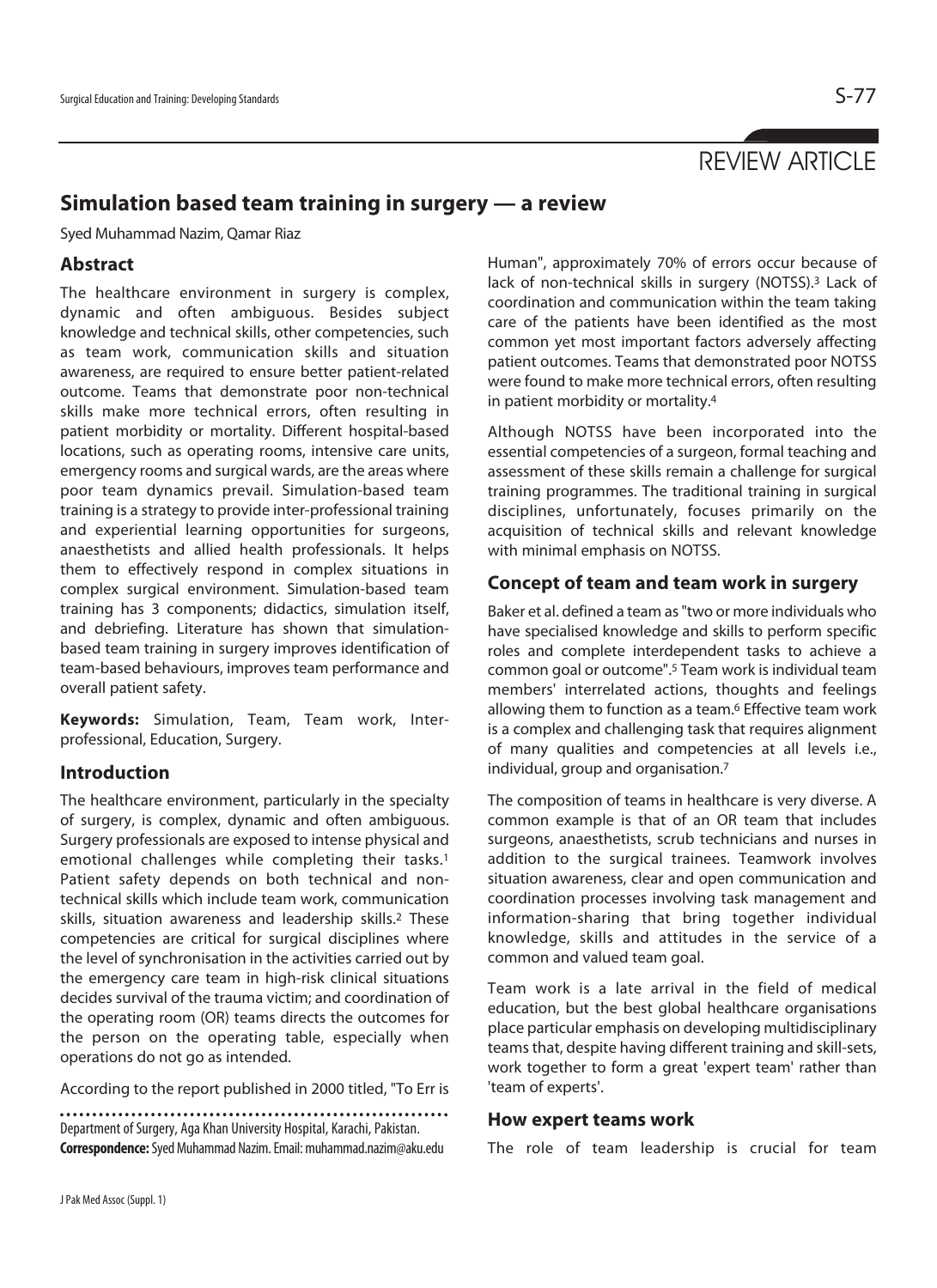# **Simulation based team training in surgery — a review**

Syed Muhammad Nazim, Qamar Riaz

### **Abstract**

The healthcare environment in surgery is complex, dynamic and often ambiguous. Besides subject knowledge and technical skills, other competencies, such as team work, communication skills and situation awareness, are required to ensure better patient-related outcome. Teams that demonstrate poor non-technical skills make more technical errors, often resulting in patient morbidity or mortality. Different hospital-based locations, such as operating rooms, intensive care units, emergency rooms and surgical wards, are the areas where poor team dynamics prevail. Simulation-based team training is a strategy to provide inter-professional training and experiential learning opportunities for surgeons, anaesthetists and allied health professionals. It helps them to effectively respond in complex situations in complex surgical environment. Simulation-based team training has 3 components; didactics, simulation itself, and debriefing. Literature has shown that simulationbased team training in surgery improves identification of team-based behaviours, improves team performance and overall patient safety.

**Keywords:** Simulation, Team, Team work, Interprofessional, Education, Surgery.

#### **Introduction**

The healthcare environment, particularly in the specialty of surgery, is complex, dynamic and often ambiguous. Surgery professionals are exposed to intense physical and emotional challenges while completing their tasks.<sup>1</sup> Patient safety depends on both technical and nontechnical skills which include team work, communication skills, situation awareness and leadership skills.2 These competencies are critical for surgical disciplines where the level of synchronisation in the activities carried out by the emergency care team in high-risk clinical situations decides survival of the trauma victim; and coordination of the operating room (OR) teams directs the outcomes for the person on the operating table, especially when operations do not go as intended.

According to the report published in 2000 titled, "To Err is

Department of Surgery, Aga Khan University Hospital, Karachi, Pakistan. **Correspondence:** Syed Muhammad Nazim. Email: muhammad.nazim@aku.edu

Human", approximately 70% of errors occur because of lack of non-technical skills in surgery (NOTSS).3 Lack of coordination and communication within the team taking care of the patients have been identified as the most common yet most important factors adversely affecting patient outcomes. Teams that demonstrated poor NOTSS were found to make more technical errors, often resulting in patient morbidity or mortality.4

Although NOTSS have been incorporated into the essential competencies of a surgeon, formal teaching and assessment of these skills remain a challenge for surgical training programmes. The traditional training in surgical disciplines, unfortunately, focuses primarily on the acquisition of technical skills and relevant knowledge with minimal emphasis on NOTSS.

#### **Concept of team and team work in surgery**

Baker et al. defined a team as "two or more individuals who have specialised knowledge and skills to perform specific roles and complete interdependent tasks to achieve a common goal or outcome".5 Team work is individual team members' interrelated actions, thoughts and feelings allowing them to function as a team.<sup>6</sup> Effective team work is a complex and challenging task that requires alignment of many qualities and competencies at all levels i.e., individual, group and organisation.7

The composition of teams in healthcare is very diverse. A common example is that of an OR team that includes surgeons, anaesthetists, scrub technicians and nurses in addition to the surgical trainees. Teamwork involves situation awareness, clear and open communication and coordination processes involving task management and information-sharing that bring together individual knowledge, skills and attitudes in the service of a common and valued team goal.

Team work is a late arrival in the field of medical education, but the best global healthcare organisations place particular emphasis on developing multidisciplinary teams that, despite having different training and skill-sets, work together to form a great 'expert team' rather than 'team of experts'.

#### **How expert teams work**

The role of team leadership is crucial for team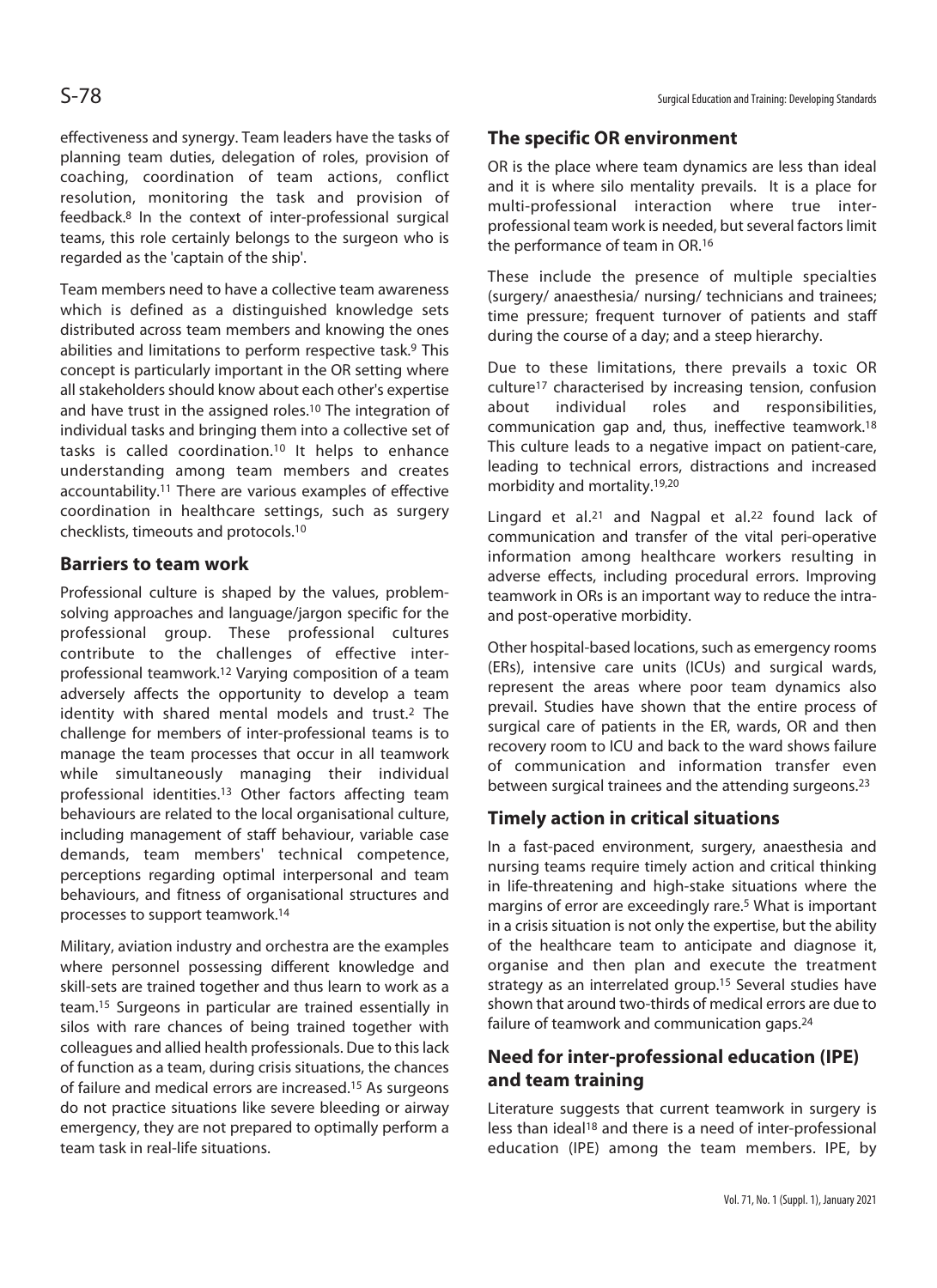effectiveness and synergy. Team leaders have the tasks of planning team duties, delegation of roles, provision of coaching, coordination of team actions, conflict resolution, monitoring the task and provision of feedback.8 In the context of inter-professional surgical teams, this role certainly belongs to the surgeon who is regarded as the 'captain of the ship'.

Team members need to have a collective team awareness which is defined as a distinguished knowledge sets distributed across team members and knowing the ones abilities and limitations to perform respective task.<sup>9</sup> This concept is particularly important in the OR setting where all stakeholders should know about each other's expertise and have trust in the assigned roles.10 The integration of individual tasks and bringing them into a collective set of tasks is called coordination.10 It helps to enhance understanding among team members and creates accountability.11 There are various examples of effective coordination in healthcare settings, such as surgery checklists, timeouts and protocols.10

#### **Barriers to team work**

Professional culture is shaped by the values, problemsolving approaches and language/jargon specific for the professional group. These professional cultures contribute to the challenges of effective interprofessional teamwork.12 Varying composition of a team adversely affects the opportunity to develop a team identity with shared mental models and trust.2 The challenge for members of inter-professional teams is to manage the team processes that occur in all teamwork while simultaneously managing their individual professional identities.13 Other factors affecting team behaviours are related to the local organisational culture, including management of staff behaviour, variable case demands, team members' technical competence, perceptions regarding optimal interpersonal and team behaviours, and fitness of organisational structures and processes to support teamwork.14

Military, aviation industry and orchestra are the examples where personnel possessing different knowledge and skill-sets are trained together and thus learn to work as a team.15 Surgeons in particular are trained essentially in silos with rare chances of being trained together with colleagues and allied health professionals. Due to this lack of function as a team, during crisis situations, the chances of failure and medical errors are increased.15 As surgeons do not practice situations like severe bleeding or airway emergency, they are not prepared to optimally perform a team task in real-life situations.

## **The specific OR environment**

OR is the place where team dynamics are less than ideal and it is where silo mentality prevails. It is a place for multi-professional interaction where true interprofessional team work is needed, but several factors limit the performance of team in OR.16

These include the presence of multiple specialties (surgery/ anaesthesia/ nursing/ technicians and trainees; time pressure; frequent turnover of patients and staff during the course of a day; and a steep hierarchy.

Due to these limitations, there prevails a toxic OR culture17 characterised by increasing tension, confusion about individual roles and responsibilities, communication gap and, thus, ineffective teamwork.18 This culture leads to a negative impact on patient-care, leading to technical errors, distractions and increased morbidity and mortality.19,20

Lingard et al.<sup>21</sup> and Nagpal et al.<sup>22</sup> found lack of communication and transfer of the vital peri-operative information among healthcare workers resulting in adverse effects, including procedural errors. Improving teamwork in ORs is an important way to reduce the intraand post-operative morbidity.

Other hospital-based locations, such as emergency rooms (ERs), intensive care units (ICUs) and surgical wards, represent the areas where poor team dynamics also prevail. Studies have shown that the entire process of surgical care of patients in the ER, wards, OR and then recovery room to ICU and back to the ward shows failure of communication and information transfer even between surgical trainees and the attending surgeons.23

## **Timely action in critical situations**

In a fast-paced environment, surgery, anaesthesia and nursing teams require timely action and critical thinking in life-threatening and high-stake situations where the margins of error are exceedingly rare.5 What is important in a crisis situation is not only the expertise, but the ability of the healthcare team to anticipate and diagnose it, organise and then plan and execute the treatment strategy as an interrelated group.15 Several studies have shown that around two-thirds of medical errors are due to failure of teamwork and communication gaps.24

## **Need for inter-professional education (IPE) and team training**

Literature suggests that current teamwork in surgery is less than ideal18 and there is a need of inter-professional education (IPE) among the team members. IPE, by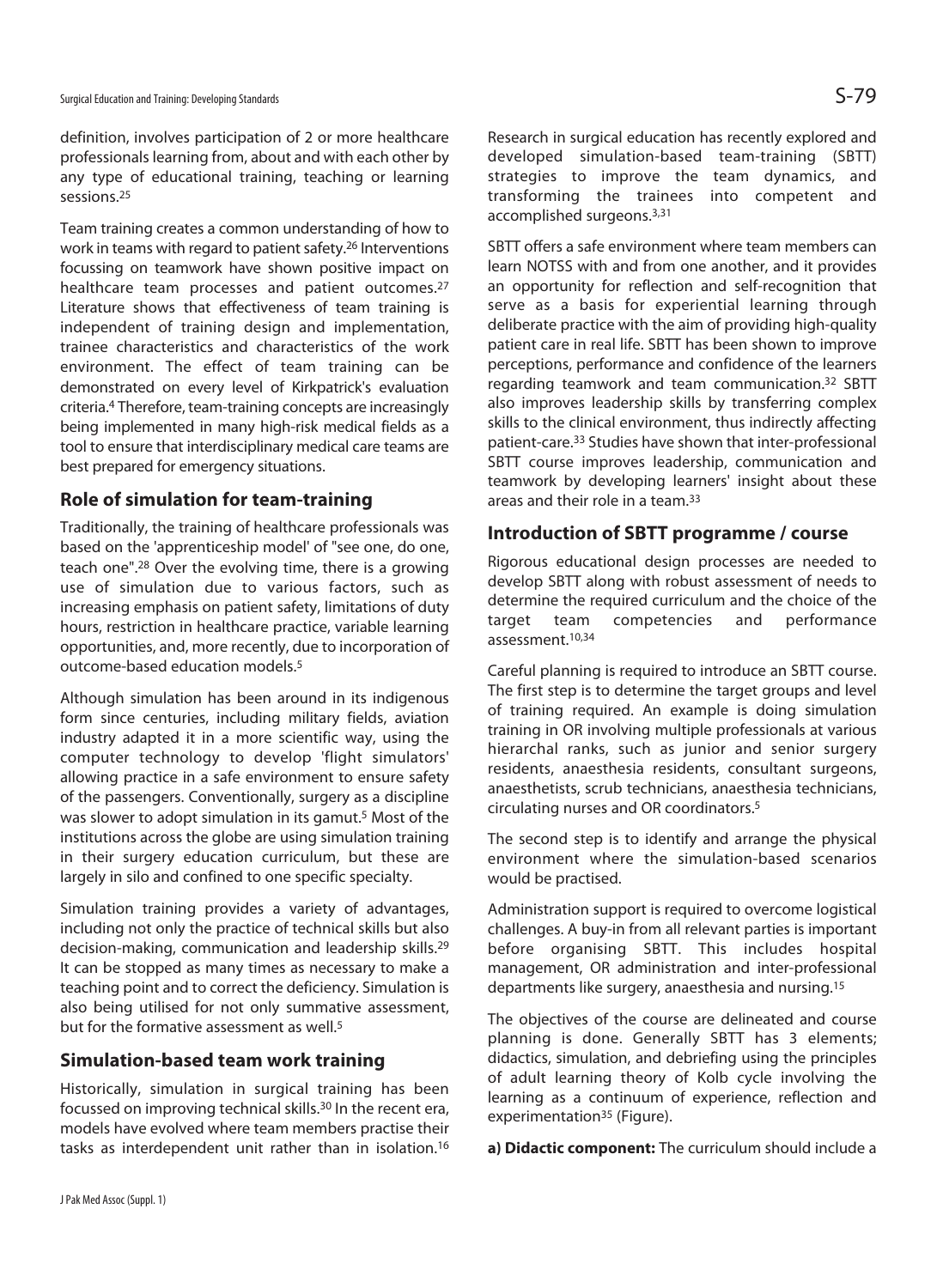definition, involves participation of 2 or more healthcare professionals learning from, about and with each other by any type of educational training, teaching or learning sessions.25

Team training creates a common understanding of how to work in teams with regard to patient safety.26 Interventions focussing on teamwork have shown positive impact on healthcare team processes and patient outcomes.<sup>27</sup> Literature shows that effectiveness of team training is independent of training design and implementation, trainee characteristics and characteristics of the work environment. The effect of team training can be demonstrated on every level of Kirkpatrick's evaluation criteria.4 Therefore, team-training concepts are increasingly being implemented in many high-risk medical fields as a tool to ensure that interdisciplinary medical care teams are best prepared for emergency situations.

#### **Role of simulation for team-training**

Traditionally, the training of healthcare professionals was based on the 'apprenticeship model' of "see one, do one, teach one".28 Over the evolving time, there is a growing use of simulation due to various factors, such as increasing emphasis on patient safety, limitations of duty hours, restriction in healthcare practice, variable learning opportunities, and, more recently, due to incorporation of outcome-based education models.5

Although simulation has been around in its indigenous form since centuries, including military fields, aviation industry adapted it in a more scientific way, using the computer technology to develop 'flight simulators' allowing practice in a safe environment to ensure safety of the passengers. Conventionally, surgery as a discipline was slower to adopt simulation in its gamut.5 Most of the institutions across the globe are using simulation training in their surgery education curriculum, but these are largely in silo and confined to one specific specialty.

Simulation training provides a variety of advantages, including not only the practice of technical skills but also decision-making, communication and leadership skills.29 It can be stopped as many times as necessary to make a teaching point and to correct the deficiency. Simulation is also being utilised for not only summative assessment, but for the formative assessment as well.<sup>5</sup>

#### **Simulation-based team work training**

Historically, simulation in surgical training has been focussed on improving technical skills.30 In the recent era, models have evolved where team members practise their tasks as interdependent unit rather than in isolation.16

Research in surgical education has recently explored and developed simulation-based team-training (SBTT) strategies to improve the team dynamics, and transforming the trainees into competent and accomplished surgeons.3,31

SBTT offers a safe environment where team members can learn NOTSS with and from one another, and it provides an opportunity for reflection and self-recognition that serve as a basis for experiential learning through deliberate practice with the aim of providing high-quality patient care in real life. SBTT has been shown to improve perceptions, performance and confidence of the learners regarding teamwork and team communication.32 SBTT also improves leadership skills by transferring complex skills to the clinical environment, thus indirectly affecting patient-care.33 Studies have shown that inter-professional SBTT course improves leadership, communication and teamwork by developing learners' insight about these areas and their role in a team.33

#### **Introduction of SBTT programme / course**

Rigorous educational design processes are needed to develop SBTT along with robust assessment of needs to determine the required curriculum and the choice of the target team competencies and performance assessment.10,34

Careful planning is required to introduce an SBTT course. The first step is to determine the target groups and level of training required. An example is doing simulation training in OR involving multiple professionals at various hierarchal ranks, such as junior and senior surgery residents, anaesthesia residents, consultant surgeons, anaesthetists, scrub technicians, anaesthesia technicians, circulating nurses and OR coordinators.5

The second step is to identify and arrange the physical environment where the simulation-based scenarios would be practised.

Administration support is required to overcome logistical challenges. A buy-in from all relevant parties is important before organising SBTT. This includes hospital management, OR administration and inter-professional departments like surgery, anaesthesia and nursing.15

The objectives of the course are delineated and course planning is done. Generally SBTT has 3 elements; didactics, simulation, and debriefing using the principles of adult learning theory of Kolb cycle involving the learning as a continuum of experience, reflection and experimentation<sup>35</sup> (Figure).

**a) Didactic component:** The curriculum should include a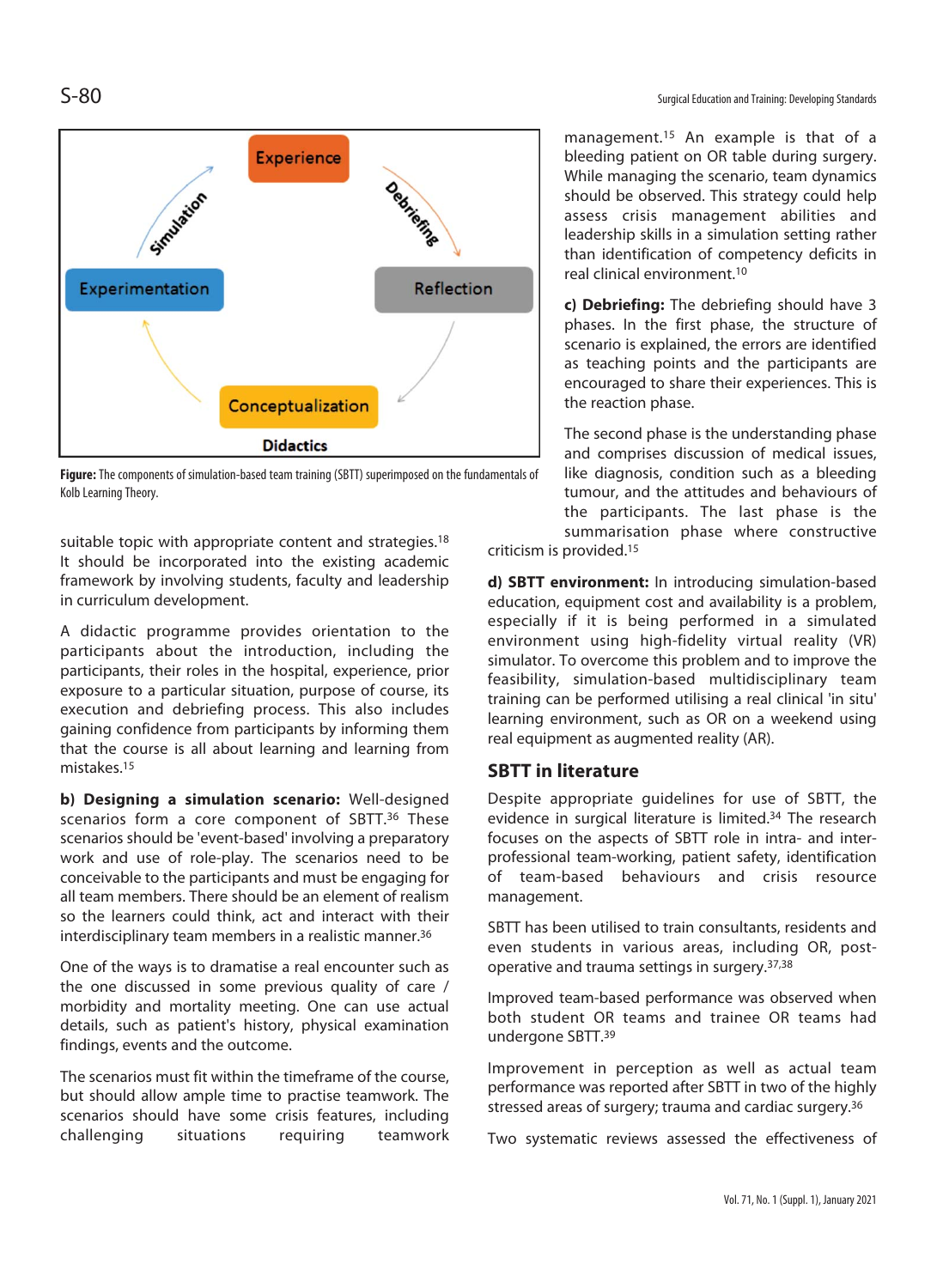

**Figure:** The components of simulation-based team training (SBTT) superimposed on the fundamentals of Kolb Learning Theory.

suitable topic with appropriate content and strategies.<sup>18</sup> It should be incorporated into the existing academic framework by involving students, faculty and leadership in curriculum development.

A didactic programme provides orientation to the participants about the introduction, including the participants, their roles in the hospital, experience, prior exposure to a particular situation, purpose of course, its execution and debriefing process. This also includes gaining confidence from participants by informing them that the course is all about learning and learning from mistakes.15

**b) Designing a simulation scenario:** Well-designed scenarios form a core component of SBTT.<sup>36</sup> These scenarios should be 'event-based' involving a preparatory work and use of role-play. The scenarios need to be conceivable to the participants and must be engaging for all team members. There should be an element of realism so the learners could think, act and interact with their interdisciplinary team members in a realistic manner.36

One of the ways is to dramatise a real encounter such as the one discussed in some previous quality of care / morbidity and mortality meeting. One can use actual details, such as patient's history, physical examination findings, events and the outcome.

The scenarios must fit within the timeframe of the course, but should allow ample time to practise teamwork. The scenarios should have some crisis features, including challenging situations requiring teamwork

management.15 An example is that of a bleeding patient on OR table during surgery. While managing the scenario, team dynamics should be observed. This strategy could help assess crisis management abilities and leadership skills in a simulation setting rather than identification of competency deficits in real clinical environment.10

**c) Debriefing:** The debriefing should have 3 phases. In the first phase, the structure of scenario is explained, the errors are identified as teaching points and the participants are encouraged to share their experiences. This is the reaction phase.

The second phase is the understanding phase and comprises discussion of medical issues, like diagnosis, condition such as a bleeding tumour, and the attitudes and behaviours of the participants. The last phase is the summarisation phase where constructive

criticism is provided.15

**d) SBTT environment:** In introducing simulation-based education, equipment cost and availability is a problem, especially if it is being performed in a simulated environment using high-fidelity virtual reality (VR) simulator. To overcome this problem and to improve the feasibility, simulation-based multidisciplinary team training can be performed utilising a real clinical 'in situ' learning environment, such as OR on a weekend using real equipment as augmented reality (AR).

#### **SBTT in literature**

Despite appropriate guidelines for use of SBTT, the evidence in surgical literature is limited.34 The research focuses on the aspects of SBTT role in intra- and interprofessional team-working, patient safety, identification of team-based behaviours and crisis resource management.

SBTT has been utilised to train consultants, residents and even students in various areas, including OR, postoperative and trauma settings in surgery.37,38

Improved team-based performance was observed when both student OR teams and trainee OR teams had undergone SBTT.39

Improvement in perception as well as actual team performance was reported after SBTT in two of the highly stressed areas of surgery; trauma and cardiac surgery.36

Two systematic reviews assessed the effectiveness of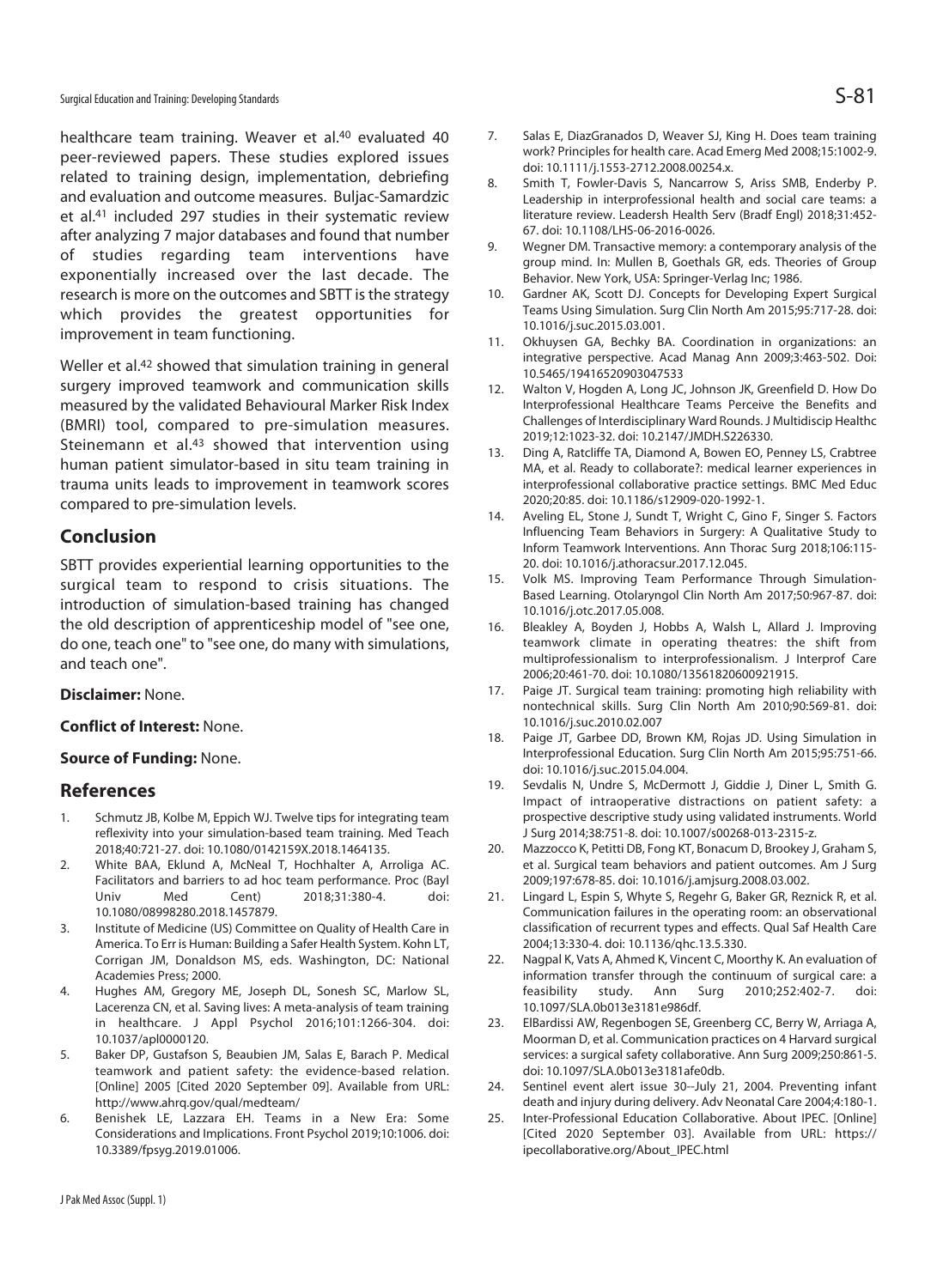healthcare team training. Weaver et al.<sup>40</sup> evaluated 40 peer-reviewed papers. These studies explored issues related to training design, implementation, debriefing and evaluation and outcome measures. Buljac-Samardzic et al.41 included 297 studies in their systematic review after analyzing 7 major databases and found that number of studies regarding team interventions have exponentially increased over the last decade. The research is more on the outcomes and SBTT is the strategy which provides the greatest opportunities for improvement in team functioning.

Weller et al.42 showed that simulation training in general surgery improved teamwork and communication skills measured by the validated Behavioural Marker Risk Index (BMRI) tool, compared to pre-simulation measures. Steinemann et al.<sup>43</sup> showed that intervention using human patient simulator-based in situ team training in trauma units leads to improvement in teamwork scores compared to pre-simulation levels.

#### **Conclusion**

SBTT provides experiential learning opportunities to the surgical team to respond to crisis situations. The introduction of simulation-based training has changed the old description of apprenticeship model of "see one, do one, teach one" to "see one, do many with simulations, and teach one".

#### **Disclaimer:** None.

#### **Conflict of Interest:** None.

#### **Source of Funding:** None.

#### **References**

- 1. Schmutz JB, Kolbe M, Eppich WJ. Twelve tips for integrating team reflexivity into your simulation-based team training. Med Teach 2018;40:721-27. doi: 10.1080/0142159X.2018.1464135.
- 2. White BAA, Eklund A, McNeal T, Hochhalter A, Arroliga AC. Facilitators and barriers to ad hoc team performance. Proc (Bayl Univ Med Cent) 2018;31:380-4. doi: 10.1080/08998280.2018.1457879.
- 3. Institute of Medicine (US) Committee on Quality of Health Care in America. To Err is Human: Building a Safer Health System. Kohn LT, Corrigan JM, Donaldson MS, eds. Washington, DC: National Academies Press; 2000.
- 4. Hughes AM, Gregory ME, Joseph DL, Sonesh SC, Marlow SL, Lacerenza CN, et al. Saving lives: A meta-analysis of team training in healthcare. J Appl Psychol 2016;101:1266-304. doi: 10.1037/apl0000120.
- 5. Baker DP, Gustafson S, Beaubien JM, Salas E, Barach P. Medical teamwork and patient safety: the evidence-based relation. [Online] 2005 [Cited 2020 September 09]. Available from URL: http://www.ahrq.gov/qual/medteam/
- 6. Benishek LE, Lazzara EH. Teams in a New Era: Some Considerations and Implications. Front Psychol 2019;10:1006. doi: 10.3389/fpsyg.2019.01006.
- 7. Salas E, DiazGranados D, Weaver SJ, King H. Does team training work? Principles for health care. Acad Emerg Med 2008;15:1002-9. doi: 10.1111/j.1553-2712.2008.00254.x.
- 8. Smith T, Fowler-Davis S, Nancarrow S, Ariss SMB, Enderby P. Leadership in interprofessional health and social care teams: a literature review. Leadersh Health Serv (Bradf Engl) 2018;31:452- 67. doi: 10.1108/LHS-06-2016-0026.
- 9. Wegner DM. Transactive memory: a contemporary analysis of the group mind. In: Mullen B, Goethals GR, eds. Theories of Group Behavior. New York, USA: Springer-Verlag Inc; 1986.
- 10. Gardner AK, Scott DJ. Concepts for Developing Expert Surgical Teams Using Simulation. Surg Clin North Am 2015;95:717-28. doi: 10.1016/j.suc.2015.03.001.
- 11. Okhuysen GA, Bechky BA. Coordination in organizations: an integrative perspective. Acad Manag Ann 2009;3:463-502. Doi: 10.5465/19416520903047533
- 12. Walton V, Hogden A, Long JC, Johnson JK, Greenfield D. How Do Interprofessional Healthcare Teams Perceive the Benefits and Challenges of Interdisciplinary Ward Rounds. J Multidiscip Healthc 2019;12:1023-32. doi: 10.2147/JMDH.S226330.
- 13. Ding A, Ratcliffe TA, Diamond A, Bowen EO, Penney LS, Crabtree MA, et al. Ready to collaborate?: medical learner experiences in interprofessional collaborative practice settings. BMC Med Educ 2020;20:85. doi: 10.1186/s12909-020-1992-1.
- 14. Aveling EL, Stone J, Sundt T, Wright C, Gino F, Singer S. Factors Influencing Team Behaviors in Surgery: A Qualitative Study to Inform Teamwork Interventions. Ann Thorac Surg 2018;106:115- 20. doi: 10.1016/j.athoracsur.2017.12.045.
- 15. Volk MS. Improving Team Performance Through Simulation-Based Learning. Otolaryngol Clin North Am 2017;50:967-87. doi: 10.1016/j.otc.2017.05.008.
- 16. Bleakley A, Boyden J, Hobbs A, Walsh L, Allard J. Improving teamwork climate in operating theatres: the shift from multiprofessionalism to interprofessionalism. J Interprof Care 2006;20:461-70. doi: 10.1080/13561820600921915.
- 17. Paige JT. Surgical team training: promoting high reliability with nontechnical skills. Surg Clin North Am 2010;90:569-81. doi: 10.1016/j.suc.2010.02.007
- 18. Paige JT, Garbee DD, Brown KM, Rojas JD. Using Simulation in Interprofessional Education. Surg Clin North Am 2015;95:751-66. doi: 10.1016/j.suc.2015.04.004.
- 19. Sevdalis N, Undre S, McDermott J, Giddie J, Diner L, Smith G. Impact of intraoperative distractions on patient safety: a prospective descriptive study using validated instruments. World J Surg 2014;38:751-8. doi: 10.1007/s00268-013-2315-z.
- 20. Mazzocco K, Petitti DB, Fong KT, Bonacum D, Brookey J, Graham S, et al. Surgical team behaviors and patient outcomes. Am J Surg 2009;197:678-85. doi: 10.1016/j.amjsurg.2008.03.002.
- 21. Lingard L, Espin S, Whyte S, Regehr G, Baker GR, Reznick R, et al. Communication failures in the operating room: an observational classification of recurrent types and effects. Qual Saf Health Care 2004;13:330-4. doi: 10.1136/qhc.13.5.330.
- 22. Nagpal K, Vats A, Ahmed K, Vincent C, Moorthy K. An evaluation of information transfer through the continuum of surgical care: a feasibility study. Ann Surg 2010;252:402-7. doi: 10.1097/SLA.0b013e3181e986df.
- 23. ElBardissi AW, Regenbogen SE, Greenberg CC, Berry W, Arriaga A, Moorman D, et al. Communication practices on 4 Harvard surgical services: a surgical safety collaborative. Ann Surg 2009;250:861-5. doi: 10.1097/SLA.0b013e3181afe0db.
- 24. Sentinel event alert issue 30--July 21, 2004. Preventing infant death and injury during delivery. Adv Neonatal Care 2004;4:180-1.
- 25. Inter-Professional Education Collaborative. About IPEC. [Online] [Cited 2020 September 03]. Available from URL: https:// ipecollaborative.org/About\_IPEC.html